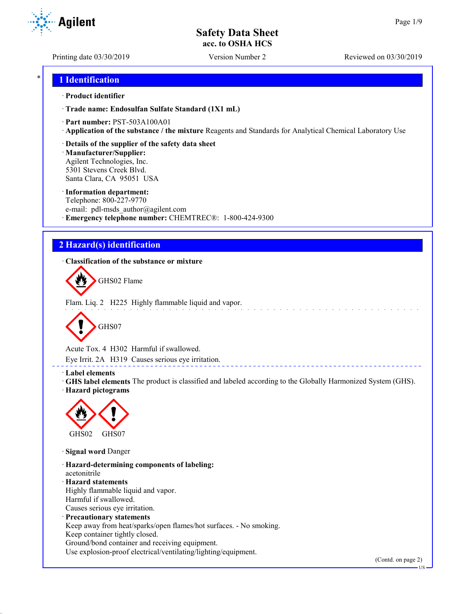Printing date 03/30/2019 Version Number 2 Reviewed on 03/30/2019

**Agilent** 

### \* **1 Identification**

### · **Product identifier**

· **Trade name: Endosulfan Sulfate Standard (1X1 mL)**

- · **Part number:** PST-503A100A01
- · **Application of the substance / the mixture** Reagents and Standards for Analytical Chemical Laboratory Use
- · **Details of the supplier of the safety data sheet**

· **Manufacturer/Supplier:** Agilent Technologies, Inc. 5301 Stevens Creek Blvd. Santa Clara, CA 95051 USA

### · **Information department:**

Telephone: 800-227-9770 e-mail: pdl-msds author@agilent.com · **Emergency telephone number:** CHEMTREC®: 1-800-424-9300

# **2 Hazard(s) identification**

· **Classification of the substance or mixture**



Flam. Liq. 2 H225 Highly flammable liquid and vapor.



Acute Tox. 4 H302 Harmful if swallowed.

Eye Irrit. 2A H319 Causes serious eye irritation.

### · **Label elements**

· **GHS label elements** The product is classified and labeled according to the Globally Harmonized System (GHS). · **Hazard pictograms**



· **Signal word** Danger

· **Hazard-determining components of labeling:** acetonitrile · **Hazard statements** Highly flammable liquid and vapor. Harmful if swallowed. Causes serious eye irritation. · **Precautionary statements** Keep away from heat/sparks/open flames/hot surfaces. - No smoking. Keep container tightly closed. Ground/bond container and receiving equipment.

Use explosion-proof electrical/ventilating/lighting/equipment.

(Contd. on page 2)

US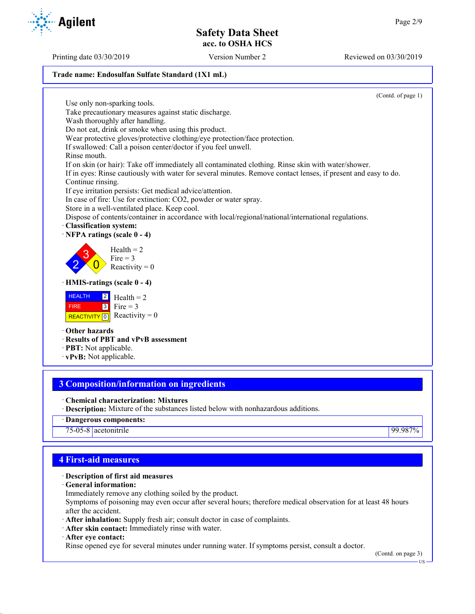### **Trade name: Endosulfan Sulfate Standard (1X1 mL)**

(Contd. of page 1) Use only non-sparking tools. Take precautionary measures against static discharge. Wash thoroughly after handling. Do not eat, drink or smoke when using this product. Wear protective gloves/protective clothing/eye protection/face protection. If swallowed: Call a poison center/doctor if you feel unwell. Rinse mouth. If on skin (or hair): Take off immediately all contaminated clothing. Rinse skin with water/shower. If in eyes: Rinse cautiously with water for several minutes. Remove contact lenses, if present and easy to do. Continue rinsing. If eye irritation persists: Get medical advice/attention. In case of fire: Use for extinction: CO2, powder or water spray. Store in a well-ventilated place. Keep cool. Dispose of contents/container in accordance with local/regional/national/international regulations. · **Classification system:** · **NFPA ratings (scale 0 - 4)** 2 3  $\overline{0}$  $Health = 2$ Fire  $= 3$ Reactivity  $= 0$ · **HMIS-ratings (scale 0 - 4) HEALTH**  FIRE REACTIVITY  $\boxed{0}$  Reactivity = 0 2 3  $Health = 2$ Fire  $= 3$ 

- · **Other hazards**
- · **Results of PBT and vPvB assessment**
- · **PBT:** Not applicable.
- · **vPvB:** Not applicable.

## **3 Composition/information on ingredients**

- · **Chemical characterization: Mixtures**
- · **Description:** Mixture of the substances listed below with nonhazardous additions.
- · **Dangerous components:**
- 75-05-8 acetonitrile 99.987%

### **4 First-aid measures**

### · **Description of first aid measures**

- · **General information:**
- Immediately remove any clothing soiled by the product.

Symptoms of poisoning may even occur after several hours; therefore medical observation for at least 48 hours after the accident.

- · **After inhalation:** Supply fresh air; consult doctor in case of complaints.
- · **After skin contact:** Immediately rinse with water.
- · **After eye contact:**

Rinse opened eye for several minutes under running water. If symptoms persist, consult a doctor.

(Contd. on page 3)

US

Printing date 03/30/2019 Version Number 2 Reviewed on 03/30/2019

**Agilent**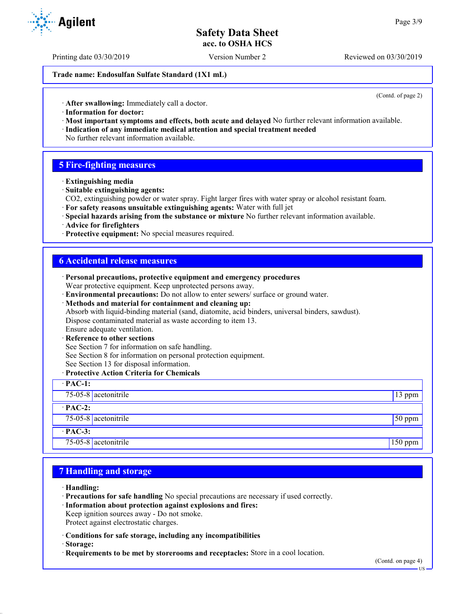Printing date 03/30/2019 Version Number 2 Reviewed on 03/30/2019

**Trade name: Endosulfan Sulfate Standard (1X1 mL)**

(Contd. of page 2)

· **After swallowing:** Immediately call a doctor.

- · **Information for doctor:**
- · **Most important symptoms and effects, both acute and delayed** No further relevant information available. · **Indication of any immediate medical attention and special treatment needed**
- No further relevant information available.

### **5 Fire-fighting measures**

- · **Extinguishing media**
- · **Suitable extinguishing agents:**
- CO2, extinguishing powder or water spray. Fight larger fires with water spray or alcohol resistant foam.
- · **For safety reasons unsuitable extinguishing agents:** Water with full jet
- · **Special hazards arising from the substance or mixture** No further relevant information available.
- · **Advice for firefighters**
- · **Protective equipment:** No special measures required.

### **6 Accidental release measures**

| · Personal precautions, protective equipment and emergency procedures                            |                 |
|--------------------------------------------------------------------------------------------------|-----------------|
| Wear protective equipment. Keep unprotected persons away.                                        |                 |
| · Environmental precautions: Do not allow to enter sewers/ surface or ground water.              |                 |
| · Methods and material for containment and cleaning up:                                          |                 |
| Absorb with liquid-binding material (sand, diatomite, acid binders, universal binders, sawdust). |                 |
| Dispose contaminated material as waste according to item 13.                                     |                 |
| Ensure adequate ventilation.                                                                     |                 |
| · Reference to other sections                                                                    |                 |
| See Section 7 for information on safe handling.                                                  |                 |
| See Section 8 for information on personal protection equipment.                                  |                 |
| See Section 13 for disposal information.                                                         |                 |
| · Protective Action Criteria for Chemicals                                                       |                 |
| $\cdot$ PAC-1:                                                                                   |                 |
| $75-05-8$ acetonitrile                                                                           | 13 ppm          |
| $\cdot$ PAC-2:                                                                                   |                 |
| 75-05-8 acetonitrile                                                                             | $\sqrt{50}$ ppm |
| $·$ PAC-3:                                                                                       |                 |
| 75-05-8 $ $ acetonitrile                                                                         | $150$ ppm       |

### **7 Handling and storage**

- · **Handling:**
- · **Precautions for safe handling** No special precautions are necessary if used correctly.
- · **Information about protection against explosions and fires:**
- Keep ignition sources away Do not smoke.
- Protect against electrostatic charges.
- · **Conditions for safe storage, including any incompatibilities**
- · **Storage:**
- · **Requirements to be met by storerooms and receptacles:** Store in a cool location.



US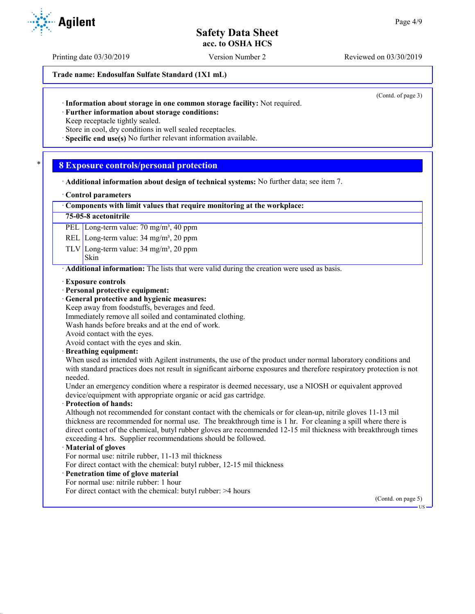Printing date 03/30/2019 Version Number 2 Reviewed on 03/30/2019

**Trade name: Endosulfan Sulfate Standard (1X1 mL)**

(Contd. of page 3)

· **Further information about storage conditions:**

Keep receptacle tightly sealed.

Store in cool, dry conditions in well sealed receptacles.

· **Specific end use(s)** No further relevant information available.

### \* **8 Exposure controls/personal protection**

· **Additional information about design of technical systems:** No further data; see item 7.

### · **Control parameters**

### · **Components with limit values that require monitoring at the workplace:**

### **75-05-8 acetonitrile**

PEL Long-term value: 70 mg/m<sup>3</sup>, 40 ppm

REL Long-term value: 34 mg/m<sup>3</sup>, 20 ppm

TLV Long-term value:  $34 \text{ mg/m}^3$ ,  $20 \text{ ppm}$ 

### Skin

**Agilent** 

· **Additional information:** The lists that were valid during the creation were used as basis.

- · **Exposure controls**
- · **Personal protective equipment:**
- · **General protective and hygienic measures:**
- Keep away from foodstuffs, beverages and feed.
- Immediately remove all soiled and contaminated clothing.
- Wash hands before breaks and at the end of work.

Avoid contact with the eyes.

Avoid contact with the eyes and skin.

· **Breathing equipment:**

When used as intended with Agilent instruments, the use of the product under normal laboratory conditions and with standard practices does not result in significant airborne exposures and therefore respiratory protection is not needed.

Under an emergency condition where a respirator is deemed necessary, use a NIOSH or equivalent approved device/equipment with appropriate organic or acid gas cartridge.

### · **Protection of hands:**

Although not recommended for constant contact with the chemicals or for clean-up, nitrile gloves 11-13 mil thickness are recommended for normal use. The breakthrough time is 1 hr. For cleaning a spill where there is direct contact of the chemical, butyl rubber gloves are recommended 12-15 mil thickness with breakthrough times exceeding 4 hrs. Supplier recommendations should be followed.

### · **Material of gloves**

For normal use: nitrile rubber, 11-13 mil thickness

For direct contact with the chemical: butyl rubber, 12-15 mil thickness

- · **Penetration time of glove material**
- For normal use: nitrile rubber: 1 hour
- For direct contact with the chemical: butyl rubber: >4 hours

(Contd. on page 5)

US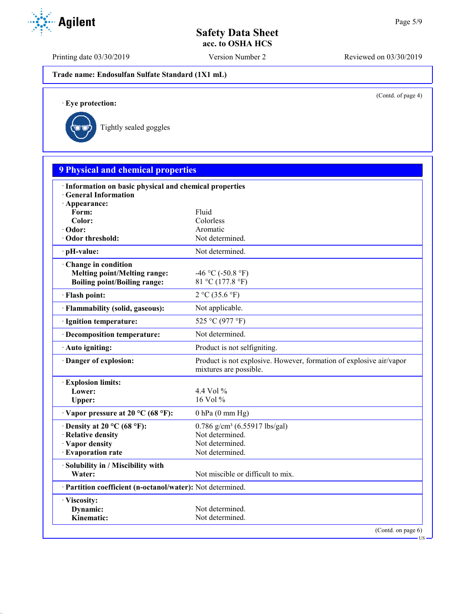Printing date 03/30/2019 Version Number 2 Reviewed on 03/30/2019

**Trade name: Endosulfan Sulfate Standard (1X1 mL)**

(Contd. of page 4)

US

· **Eye protection:**



| · Information on basic physical and chemical properties<br><b>General Information</b><br>· Appearance: |                                                                                               |
|--------------------------------------------------------------------------------------------------------|-----------------------------------------------------------------------------------------------|
| Form:                                                                                                  | Fluid                                                                                         |
| Color:                                                                                                 | Colorless                                                                                     |
| $\cdot$ Odor:                                                                                          | Aromatic                                                                                      |
| · Odor threshold:                                                                                      | Not determined.                                                                               |
| · pH-value:                                                                                            | Not determined.                                                                               |
| Change in condition<br><b>Melting point/Melting range:</b><br><b>Boiling point/Boiling range:</b>      | -46 °C (-50.8 °F)<br>81 °C (177.8 °F)                                                         |
| · Flash point:                                                                                         | 2 °C (35.6 °F)                                                                                |
| · Flammability (solid, gaseous):                                                                       | Not applicable.                                                                               |
| · Ignition temperature:                                                                                | 525 °C (977 °F)                                                                               |
| · Decomposition temperature:                                                                           | Not determined.                                                                               |
| · Auto igniting:                                                                                       | Product is not selfigniting.                                                                  |
| Danger of explosion:                                                                                   | Product is not explosive. However, formation of explosive air/vapor<br>mixtures are possible. |
| <b>Explosion limits:</b>                                                                               |                                                                                               |
| Lower:                                                                                                 | 4.4 Vol $\%$                                                                                  |
| Upper:                                                                                                 | 16 Vol %                                                                                      |
| $\cdot$ Vapor pressure at 20 °C (68 °F):                                                               | $0$ hPa $(0$ mm Hg)                                                                           |
| $\cdot$ Density at 20 °C (68 °F):                                                                      | $0.786$ g/cm <sup>3</sup> (6.55917 lbs/gal)                                                   |
| · Relative density                                                                                     | Not determined.                                                                               |
| · Vapor density                                                                                        | Not determined.                                                                               |
| · Evaporation rate                                                                                     | Not determined.                                                                               |
| · Solubility in / Miscibility with                                                                     |                                                                                               |
| Water:                                                                                                 | Not miscible or difficult to mix.                                                             |
| · Partition coefficient (n-octanol/water): Not determined.                                             |                                                                                               |
| · Viscosity:                                                                                           |                                                                                               |
| Dynamic:                                                                                               | Not determined.                                                                               |
| Kinematic:                                                                                             | Not determined.                                                                               |

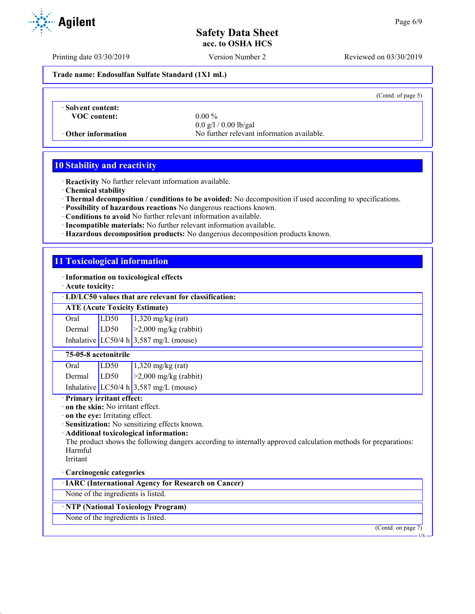Printing date 03/30/2019 Version Number 2 Reviewed on 03/30/2019

**Trade name: Endosulfan Sulfate Standard (1X1 mL)**

(Contd. of page 5)

· **Solvent content: VOC content:** 0.00 %

0.0 g/l / 0.00 lb/gal · **Other information** No further relevant information available.

# **10 Stability and reactivity**

· **Reactivity** No further relevant information available.

· **Chemical stability**

- · **Thermal decomposition / conditions to be avoided:** No decomposition if used according to specifications.
- · **Possibility of hazardous reactions** No dangerous reactions known.
- · **Conditions to avoid** No further relevant information available.
- · **Incompatible materials:** No further relevant information available.
- · **Hazardous decomposition products:** No dangerous decomposition products known.

### **11 Toxicological information**

· **Information on toxicological effects**

· **Acute toxicity:**

· **LD/LC50 values that are relevant for classification:**

### **ATE (Acute Toxicity Estimate)**

| Oral           | LD50 | $1,320$ mg/kg (rat)                      |
|----------------|------|------------------------------------------|
| Dermal $ LD50$ |      | $\geq$ 2,000 mg/kg (rabbit)              |
|                |      | Inhalative LC50/4 h $3,587$ mg/L (mouse) |

### **75-05-8 acetonitrile**

| Oral   | LD <sub>50</sub> | $1,320$ mg/kg (rat)                    |
|--------|------------------|----------------------------------------|
| Dermal | LD50             | $\geq$ 2,000 mg/kg (rabbit)            |
|        |                  | Inhalative LC50/4 h 3,587 mg/L (mouse) |

### · **Primary irritant effect:**

· **on the skin:** No irritant effect.

· **on the eye:** Irritating effect.

· **Sensitization:** No sensitizing effects known.

· **Additional toxicological information:**

The product shows the following dangers according to internally approved calculation methods for preparations: Harmful

# Irritant

### · **Carcinogenic categories**

· **IARC (International Agency for Research on Cancer)**

None of the ingredients is listed.

### · **NTP (National Toxicology Program)**

None of the ingredients is listed.

(Contd. on page 7)

T TO

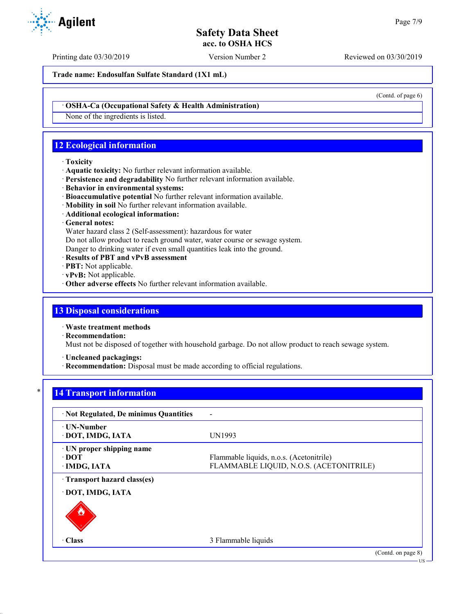Printing date 03/30/2019 Version Number 2 Reviewed on 03/30/2019

(Contd. of page 6)

**Trade name: Endosulfan Sulfate Standard (1X1 mL)**

· **OSHA-Ca (Occupational Safety & Health Administration)**

None of the ingredients is listed.

# **12 Ecological information**

### · **Toxicity**

- · **Aquatic toxicity:** No further relevant information available.
- · **Persistence and degradability** No further relevant information available.
- · **Behavior in environmental systems:**
- · **Bioaccumulative potential** No further relevant information available.
- · **Mobility in soil** No further relevant information available.
- · **Additional ecological information:**

### · **General notes:**

Water hazard class 2 (Self-assessment): hazardous for water

Do not allow product to reach ground water, water course or sewage system.

Danger to drinking water if even small quantities leak into the ground.

- · **Results of PBT and vPvB assessment**
- · **PBT:** Not applicable.
- · **vPvB:** Not applicable.
- · **Other adverse effects** No further relevant information available.

### **13 Disposal considerations**

· **Waste treatment methods**

· **Recommendation:**

Must not be disposed of together with household garbage. Do not allow product to reach sewage system.

· **Uncleaned packagings:**

· **Recommendation:** Disposal must be made according to official regulations.

# **14 Transport information**

| ⋅ UN-Number<br>UN1993<br>· DOT, IMDG, IATA         |                                                                                     |
|----------------------------------------------------|-------------------------------------------------------------------------------------|
|                                                    |                                                                                     |
| · UN proper shipping name<br>∙ DOT<br>· IMDG, IATA | Flammable liquids, n.o.s. (Acetonitrile)<br>FLAMMABLE LIQUID, N.O.S. (ACETONITRILE) |
| Transport hazard class(es)                         |                                                                                     |
| · DOT, IMDG, IATA                                  |                                                                                     |
| $\cdot$ Class<br>3 Flammable liquids               |                                                                                     |
|                                                    | (Contd. on page 8)                                                                  |

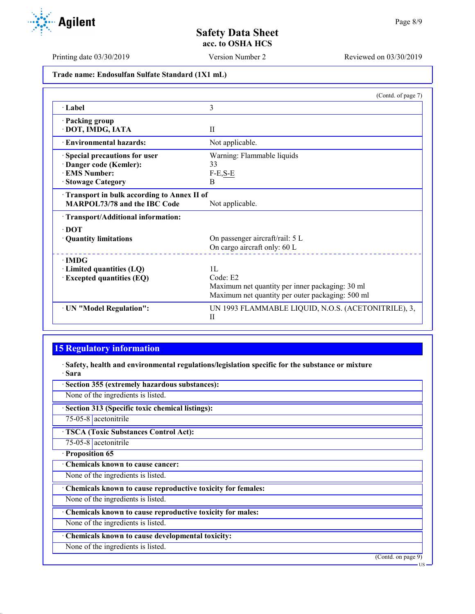Printing date 03/30/2019 Version Number 2 Reviewed on 03/30/2019

**Trade name: Endosulfan Sulfate Standard (1X1 mL)**

|                                            | (Contd. of page 7)                                                  |
|--------------------------------------------|---------------------------------------------------------------------|
| · Label                                    | 3                                                                   |
| · Packing group                            |                                                                     |
| · DOT, IMDG, IATA                          | $\mathbf{I}$                                                        |
| · Environmental hazards:                   | Not applicable.                                                     |
| <b>Special precautions for user</b>        | Warning: Flammable liquids                                          |
| Danger code (Kemler):                      | 33                                                                  |
| <b>EMS Number:</b>                         | $F-E, S-E$                                                          |
| <b>Stowage Category</b>                    | B                                                                   |
| Transport in bulk according to Annex II of |                                                                     |
| MARPOL73/78 and the IBC Code               | Not applicable.                                                     |
| · Transport/Additional information:        |                                                                     |
| $\cdot$ DOT                                |                                                                     |
| · Quantity limitations                     | On passenger aircraft/rail: 5 L                                     |
|                                            | On cargo aircraft only: 60 L                                        |
| $\cdot$ IMDG                               |                                                                     |
| $\cdot$ Limited quantities (LQ)            | 1 <sub>L</sub>                                                      |
| <b>Excepted quantities (EQ)</b>            | Code: E2                                                            |
|                                            | Maximum net quantity per inner packaging: 30 ml                     |
|                                            | Maximum net quantity per outer packaging: 500 ml                    |
| · UN "Model Regulation":                   | UN 1993 FLAMMABLE LIQUID, N.O.S. (ACETONITRILE), 3,<br>$\mathbf{I}$ |

# **15 Regulatory information**

· **Safety, health and environmental regulations/legislation specific for the substance or mixture** · **Sara**

| Section 355 (extremely hazardous substances):               |                                        |
|-------------------------------------------------------------|----------------------------------------|
| None of the ingredients is listed.                          |                                        |
| Section 313 (Specific toxic chemical listings):             |                                        |
| 75-05-8 acetonitrile                                        |                                        |
| <b>TSCA (Toxic Substances Control Act):</b>                 |                                        |
| 75-05-8 acetonitrile                                        |                                        |
| · Proposition 65                                            |                                        |
| Chemicals known to cause cancer:                            |                                        |
| None of the ingredients is listed.                          |                                        |
| Chemicals known to cause reproductive toxicity for females: |                                        |
| None of the ingredients is listed.                          |                                        |
| Chemicals known to cause reproductive toxicity for males:   |                                        |
| None of the ingredients is listed.                          |                                        |
| Chemicals known to cause developmental toxicity:            |                                        |
| None of the ingredients is listed.                          |                                        |
|                                                             | $\overline{\text{(Contd. on page 9)}}$ |